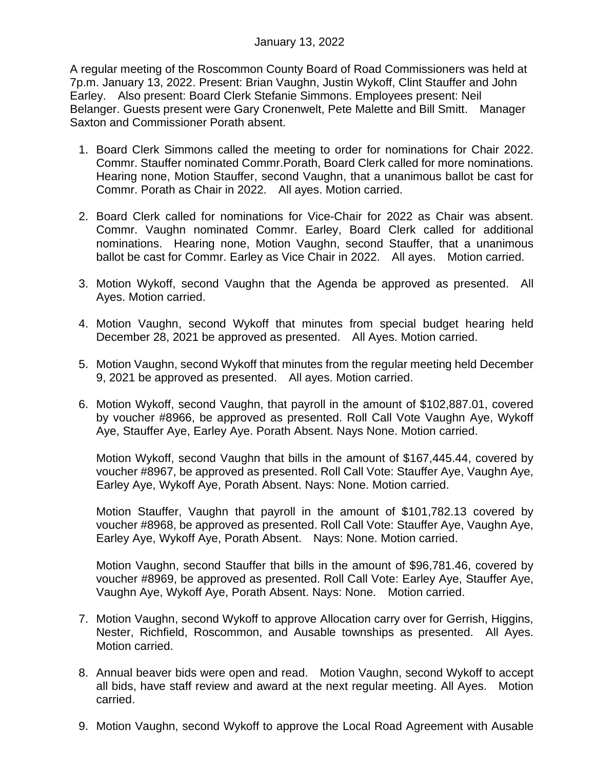A regular meeting of the Roscommon County Board of Road Commissioners was held at 7p.m. January 13, 2022. Present: Brian Vaughn, Justin Wykoff, Clint Stauffer and John Earley. Also present: Board Clerk Stefanie Simmons. Employees present: Neil Belanger. Guests present were Gary Cronenwelt, Pete Malette and Bill Smitt. Manager Saxton and Commissioner Porath absent.

- 1. Board Clerk Simmons called the meeting to order for nominations for Chair 2022. Commr. Stauffer nominated Commr.Porath, Board Clerk called for more nominations. Hearing none, Motion Stauffer, second Vaughn, that a unanimous ballot be cast for Commr. Porath as Chair in 2022. All ayes. Motion carried.
- 2. Board Clerk called for nominations for Vice-Chair for 2022 as Chair was absent. Commr. Vaughn nominated Commr. Earley, Board Clerk called for additional nominations. Hearing none, Motion Vaughn, second Stauffer, that a unanimous ballot be cast for Commr. Earley as Vice Chair in 2022. All ayes. Motion carried.
- 3. Motion Wykoff, second Vaughn that the Agenda be approved as presented. All Ayes. Motion carried.
- 4. Motion Vaughn, second Wykoff that minutes from special budget hearing held December 28, 2021 be approved as presented. All Ayes. Motion carried.
- 5. Motion Vaughn, second Wykoff that minutes from the regular meeting held December 9, 2021 be approved as presented. All ayes. Motion carried.
- 6. Motion Wykoff, second Vaughn, that payroll in the amount of \$102,887.01, covered by voucher #8966, be approved as presented. Roll Call Vote Vaughn Aye, Wykoff Aye, Stauffer Aye, Earley Aye. Porath Absent. Nays None. Motion carried.

Motion Wykoff, second Vaughn that bills in the amount of \$167,445.44, covered by voucher #8967, be approved as presented. Roll Call Vote: Stauffer Aye, Vaughn Aye, Earley Aye, Wykoff Aye, Porath Absent. Nays: None. Motion carried.

Motion Stauffer, Vaughn that payroll in the amount of \$101,782.13 covered by voucher #8968, be approved as presented. Roll Call Vote: Stauffer Aye, Vaughn Aye, Earley Aye, Wykoff Aye, Porath Absent. Nays: None. Motion carried.

Motion Vaughn, second Stauffer that bills in the amount of \$96,781.46, covered by voucher #8969, be approved as presented. Roll Call Vote: Earley Aye, Stauffer Aye, Vaughn Aye, Wykoff Aye, Porath Absent. Nays: None. Motion carried.

- 7. Motion Vaughn, second Wykoff to approve Allocation carry over for Gerrish, Higgins, Nester, Richfield, Roscommon, and Ausable townships as presented. All Ayes. Motion carried.
- 8. Annual beaver bids were open and read. Motion Vaughn, second Wykoff to accept all bids, have staff review and award at the next regular meeting. All Ayes. Motion carried.
- 9. Motion Vaughn, second Wykoff to approve the Local Road Agreement with Ausable